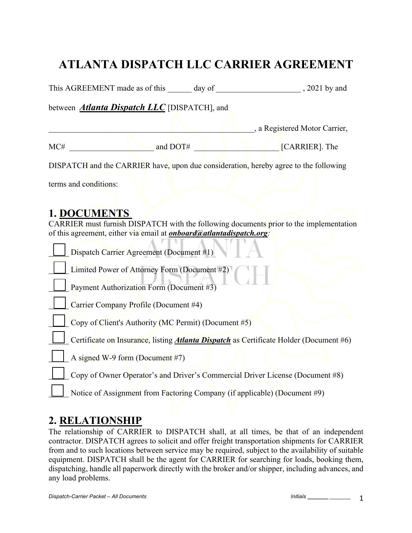# **ATLANTA DISPATCH LLC CARRIER AGREEMENT**

| This AGREEMENT made as of this day of                                                                                                                                                 | , 2021 by and                                                                                 |
|---------------------------------------------------------------------------------------------------------------------------------------------------------------------------------------|-----------------------------------------------------------------------------------------------|
| between <i>Atlanta Dispatch LLC</i> [DISPATCH], and                                                                                                                                   |                                                                                               |
|                                                                                                                                                                                       | , a Registered Motor Carrier,                                                                 |
| and DOT#<br>MC#                                                                                                                                                                       | [CARRIER]. The                                                                                |
| DISPATCH and the CARRIER have, upon due consideration, hereby agree to the following                                                                                                  |                                                                                               |
| terms and conditions:                                                                                                                                                                 |                                                                                               |
| 1. DOCUMENTS<br>CARRIER must furnish DISPATCH with the following documents prior to the implementation<br>of this agreement, either via email at <i>onboard@atlantadispatch.org</i> : |                                                                                               |
| Dispatch Carrier Agreement (Document #1)                                                                                                                                              |                                                                                               |
| Limited Power of Attorney Form (Document #2)                                                                                                                                          |                                                                                               |
| Payment Authorization Form (Document #3)                                                                                                                                              |                                                                                               |
| Carrier Company Profile (Document #4)                                                                                                                                                 |                                                                                               |
| Copy of Client's Authority (MC Permit) (Document #5)                                                                                                                                  |                                                                                               |
|                                                                                                                                                                                       | Certificate on Insurance, listing <i>Atlanta Dispatch</i> as Certificate Holder (Document #6) |
| A signed W-9 form (Document #7)                                                                                                                                                       |                                                                                               |
|                                                                                                                                                                                       | Copy of Owner Operator's and Driver's Commercial Driver License (Document #8)                 |
| Notice of Assignment from Factoring Company (if applicable) (Document #9)                                                                                                             |                                                                                               |

## **2. RELATIONSHIP**

The relationship of CARRIER to DISPATCH shall, at all times, be that of an independent contractor. DISPATCH agrees to solicit and offer freight transportation shipments for CARRIER from and to such locations between service may be required, subject to the availability of suitable equipment. DISPATCH shall be the agent for CARRIER for searching for loads, booking them, dispatching, handle all paperwork directly with the broker and/or shipper, including advances, and any load problems.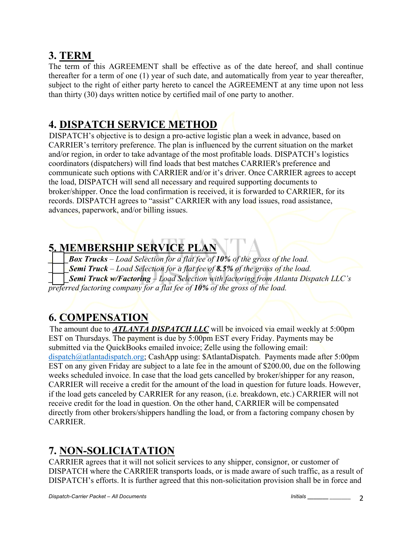# **3. TERM**

The term of this AGREEMENT shall be effective as of the date hereof, and shall continue thereafter for a term of one (1) year of such date, and automatically from year to year thereafter, subject to the right of either party hereto to cancel the AGREEMENT at any time upon not less than thirty (30) days written notice by certified mail of one party to another.

# **4. DISPATCH SERVICE METHOD**

DISPATCH's objective is to design a pro-active logistic plan a week in advance, based on CARRIER's territory preference. The plan is influenced by the current situation on the market and/or region, in order to take advantage of the most profitable loads. DISPATCH's logistics coordinators (dispatchers) will find loads that best matches CARRIER's preference and communicate such options with CARRIER and/or it's driver. Once CARRIER agrees to accept the load, DISPATCH will send all necessary and required supporting documents to broker/shipper. Once the load confirmation is received, it is forwarded to CARRIER, for its records. DISPATCH agrees to "assist" CARRIER with any load issues, road assistance, advances, paperwork, and/or billing issues.

# **5. MEMBERSHIP SERVICE PLAN**

*\_\_\_\_\_Box Trucks – Load Selection for a flat fee of 10% of the gross of the load.*

*\_\_\_\_\_Semi Truck – Load Selection for a flat fee of 8.5% of the gross of the load.*

*\_\_\_\_\_Semi Truck w/Factoring – Load Selection with factoring from Atlanta Dispatch LLC's* 

*preferred factoring company for a flat fee of 10% of the gross of the load.*

# **6. COMPENSATION**

The amount due to **ATLANTA DISPATCH LLC** will be invoiced via email weekly at 5:00pm EST on Thursdays. The payment is due by 5:00pm EST every Friday. Payments may be submitted via the QuickBooks emailed invoice; Zelle using the following email: dispatch@atlantadispatch.org; CashApp using: \$AtlantaDispatch. Payments made after 5:00pm EST on any given Friday are subject to a late fee in the amount of \$200.00, due on the following weeks scheduled invoice. In case that the load gets cancelled by broker/shipper for any reason, CARRIER will receive a credit for the amount of the load in question for future loads. However, if the load gets canceled by CARRIER for any reason, (i.e. breakdown, etc.) CARRIER will not receive credit for the load in question. On the other hand, CARRIER will be compensated directly from other brokers/shippers handling the load, or from a factoring company chosen by CARRIER.

# **7. NON-SOLICIATATION**

CARRIER agrees that it will not solicit services to any shipper, consignor, or customer of DISPATCH where the CARRIER transports loads, or is made aware of such traffic, as a result of DISPATCH's efforts. It is further agreed that this non-solicitation provision shall be in force and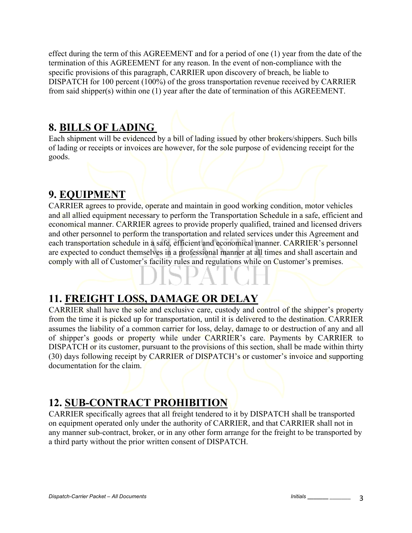effect during the term of this AGREEMENT and for a period of one (1) year from the date of the termination of this AGREEMENT for any reason. In the event of non-compliance with the specific provisions of this paragraph, CARRIER upon discovery of breach, be liable to DISPATCH for 100 percent (100%) of the gross transportation revenue received by CARRIER from said shipper(s) within one (1) year after the date of termination of this AGREEMENT.

# **8. BILLS OF LADING**

Each shipment will be evidenced by a bill of lading issued by other brokers/shippers. Such bills of lading or receipts or invoices are however, for the sole purpose of evidencing receipt for the goods.

# **9. EQUIPMENT**

CARRIER agrees to provide, operate and maintain in good working condition, motor vehicles and all allied equipment necessary to perform the Transportation Schedule in a safe, efficient and economical manner. CARRIER agrees to provide properly qualified, trained and licensed drivers and other personnel to perform the transportation and related services under this Agreement and each transportation schedule in a safe, efficient and economical manner. CARRIER's personnel are expected to conduct themselves in a professional manner at all times and shall ascertain and comply with all of Customer's facility rules and regulations while on Customer's premises.

# **11. FREIGHT LOSS, DAMAGE OR DELAY**

CARRIER shall have the sole and exclusive care, custody and control of the shipper's property from the time it is picked up for transportation, until it is delivered to the destination. CARRIER assumes the liability of a common carrier for loss, delay, damage to or destruction of any and all of shipper's goods or property while under CARRIER's care. Payments by CARRIER to DISPATCH or its customer, pursuant to the provisions of this section, shall be made within thirty (30) days following receipt by CARRIER of DISPATCH's or customer's invoice and supporting documentation for the claim.

# **12. SUB-CONTRACT PROHIBITION**

CARRIER specifically agrees that all freight tendered to it by DISPATCH shall be transported on equipment operated only under the authority of CARRIER, and that CARRIER shall not in any manner sub-contract, broker, or in any other form arrange for the freight to be transported by a third party without the prior written consent of DISPATCH.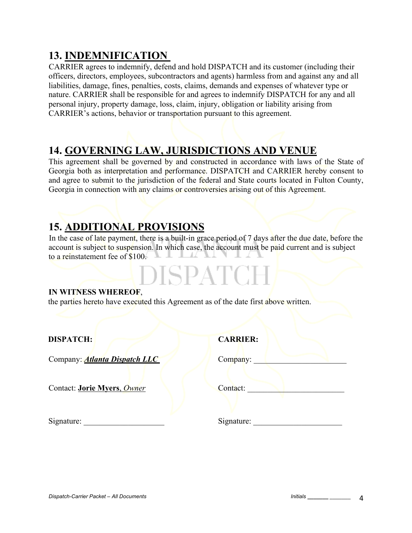# **13. INDEMNIFICATION**

CARRIER agrees to indemnify, defend and hold DISPATCH and its customer (including their officers, directors, employees, subcontractors and agents) harmless from and against any and all liabilities, damage, fines, penalties, costs, claims, demands and expenses of whatever type or nature. CARRIER shall be responsible for and agrees to indemnify DISPATCH for any and all personal injury, property damage, loss, claim, injury, obligation or liability arising from CARRIER's actions, behavior or transportation pursuant to this agreement.

# **14. GOVERNING LAW, JURISDICTIONS AND VENUE**

This agreement shall be governed by and constructed in accordance with laws of the State of Georgia both as interpretation and performance. DISPATCH and CARRIER hereby consent to and agree to submit to the jurisdiction of the federal and State courts located in Fulton County, Georgia in connection with any claims or controversies arising out of this Agreement.

# **15. ADDITIONAL PROVISIONS**

In the case of late payment, there is a built-in grace period of 7 days after the due date, before the account is subject to suspension. In which case, the account must be paid current and is subject to a reinstatement fee of \$100.

DISPATCH

#### **IN WITNESS WHEREOF**,

the parties hereto have executed this Agreement as of the date first above written.

**DISPATCH:** 

Company: *Atlanta Dispatch LLC* Company:

| <b>CARRIER:</b> |
|-----------------|
|-----------------|

Contact: **Jorie Myers**, *Owner* Contact: **Contact: Contact: Contact: Contact: Contact: Contact: Contact: Contact: Contact: Contact: Contact: Contact: Contact: Contact: Contact: Contact: Cont** 

| Contact: |
|----------|
|----------|

Signature: \_\_\_\_\_\_\_\_\_\_\_\_\_\_\_\_\_\_\_\_ Signature: \_\_\_\_\_\_\_\_\_\_\_\_\_\_\_\_\_\_\_\_\_\_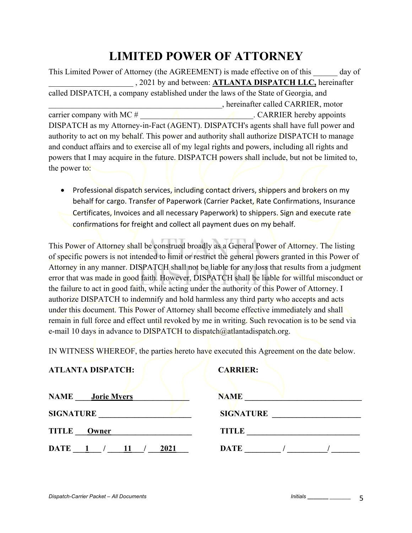# **LIMITED POWER OF ATTORNEY**

This Limited Power of Attorney (the AGREEMENT) is made effective on of this day of \_\_\_\_\_\_\_\_\_\_\_\_\_\_\_\_\_\_\_\_\_ , 2021 by and between: **ATLANTA DISPATCH LLC,** hereinafter called DISPATCH, a company established under the laws of the State of Georgia, and \_\_\_\_\_\_\_\_\_\_\_\_\_\_\_\_\_\_\_\_\_\_\_\_\_\_\_\_\_\_\_\_\_\_\_\_\_\_\_\_\_\_\_, hereinafter called CARRIER, motor carrier company with MC # \_\_\_\_\_\_\_\_\_\_\_\_\_\_\_\_\_\_\_\_\_\_\_\_\_\_\_\_. CARRIER hereby appoints DISPATCH as my Attorney-in-Fact (AGENT). DISPATCH's agents shall have full power and authority to act on my behalf. This power and authority shall authorize DISPATCH to manage and conduct affairs and to exercise all of my legal rights and powers, including all rights and powers that I may acquire in the future. DISPATCH powers shall include, but not be limited to, the power to:

• Professional dispatch services, including contact drivers, shippers and brokers on my behalf for cargo. Transfer of Paperwork (Carrier Packet, Rate Confirmations, Insurance Certificates, Invoices and all necessary Paperwork) to shippers. Sign and execute rate confirmations for freight and collect all payment dues on my behalf.

This Power of Attorney shall be construed broadly as a General Power of Attorney. The listing of specific powers is not intended to limit or restrict the general powers granted in this Power of Attorney in any manner. DISPATCH shall not be liable for any loss that results from a judgment error that was made in good faith. However, DISPATCH shall be liable for willful misconduct or the failure to act in good faith, while acting under the authority of this Power of Attorney. I authorize DISPATCH to indemnify and hold harmless any third party who accepts and acts under this document. This Power of Attorney shall become effective immediately and shall remain in full force and effect until revoked by me in writing. Such revocation is to be send via e-mail 10 days in advance to DISPATCH to dispatch $\omega$ atlantadispatch.org.

IN WITNESS WHEREOF, the parties hereto have executed this Agreement on the date below.

#### **ATLANTA DISPATCH: CARRIER:**

| <b>NAME</b><br><b>Jorie Myers</b> | <b>NAME</b>      |
|-----------------------------------|------------------|
| <b>SIGNATURE</b>                  | <b>SIGNATURE</b> |
| <b>TITLE</b><br>Owner             | <b>TITLE</b>     |
| <b>DATE</b><br>2021               | <b>DATE</b>      |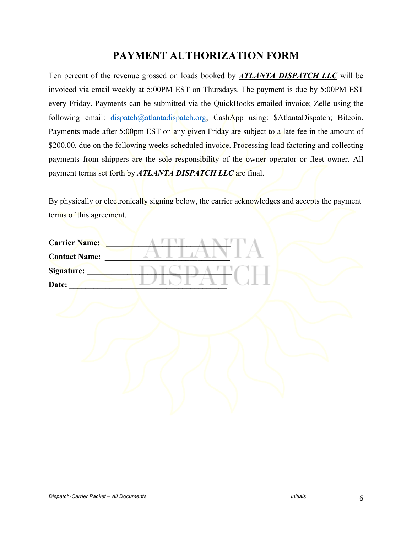# **PAYMENT AUTHORIZATION FORM**

Ten percent of the revenue grossed on loads booked by *ATLANTA DISPATCH LLC* will be invoiced via email weekly at 5:00PM EST on Thursdays. The payment is due by 5:00PM EST every Friday. Payments can be submitted via the QuickBooks emailed invoice; Zelle using the following email: dispatch@atlantadispatch.org; CashApp using: \$AtlantaDispatch; Bitcoin. Payments made after 5:00pm EST on any given Friday are subject to a late fee in the amount of \$200.00, due on the following weeks scheduled invoice. Processing load factoring and collecting payments from shippers are the sole responsibility of the owner operator or fleet owner. All payment terms set forth by *ATLANTA DISPATCH LLC* are final.

By physically or electronically signing below, the carrier acknowledges and accepts the payment terms of this agreement.

| <b>Carrier Name:</b> |  |
|----------------------|--|
| <b>Contact Name:</b> |  |
| <b>Signature:</b>    |  |
| Date:                |  |
|                      |  |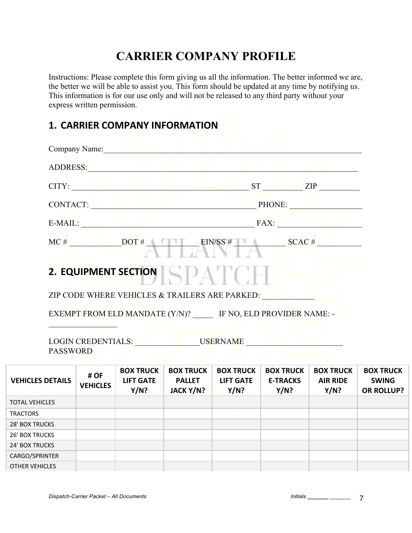# **CARRIER COMPANY PROFILE**

Instructions: Please complete this form giving us all the information. The better informed we are, the better we will be able to assist you. This form should be updated at any time by notifying us. This information is for our use only and will not be released to any third party without your express written permission.

| Company Name:                         |                                                                                                                        |                              |      |                  |                  |                  |
|---------------------------------------|------------------------------------------------------------------------------------------------------------------------|------------------------------|------|------------------|------------------|------------------|
|                                       | ADDRESS:                                                                                                               |                              |      |                  |                  |                  |
|                                       | CITY:                                                                                                                  |                              |      |                  | $ST$ $ZIP$       |                  |
|                                       | CONTACT:                                                                                                               |                              |      |                  | PHONE:           |                  |
| E-MAIL:                               |                                                                                                                        |                              | FAX: |                  |                  |                  |
|                                       | $MC #$ DOT# DOT = EIN/SS # SCAC #                                                                                      |                              |      |                  |                  |                  |
|                                       | 2. EQUIPMENT SECTION $\llbracket \leq \llbracket \log \Delta \rbrack \llbracket \leq \llbracket \log \Delta \rbracket$ |                              |      |                  |                  |                  |
|                                       | ZIP CODE WHERE VEHICLES & TRAILERS ARE PARKED:                                                                         |                              |      |                  |                  |                  |
|                                       | EXEMPT FROM ELD MANDATE (Y/N)? IF NO, ELD PROVIDER NAME: -                                                             |                              |      |                  |                  |                  |
| LOGIN CREDENTIALS:<br><b>PASSWORD</b> |                                                                                                                        | USERNAME                     |      |                  |                  |                  |
| $H$ OF                                | <b>BOX TRUCK</b>                                                                                                       | <b>BOX TRUCK BOX TRUCK  </b> |      | <b>BOX TRUCK</b> | <b>BOX TRUCK</b> | <b>BOX TRUCK</b> |

| <b>VEHICLES DETAILS</b> | # OF<br><b>VEHICLES</b> | <b>DUA IRULN</b><br><b>LIFT GATE</b><br><b>Y/N?</b> | <b>DUA IRULN</b><br><b>PALLET</b><br>JACK Y/N? | <b>DUA IRULN</b><br><b>LIFT GATE</b><br>Y/N? | <b>DUA IRULN</b><br><b>E-TRACKS</b><br>Y/N? | <b>DUA IRULN</b><br><b>AIR RIDE</b><br>Y/N? | <b>DUA IRULN</b><br><b>SWING</b><br><b>OR ROLLUP?</b> |
|-------------------------|-------------------------|-----------------------------------------------------|------------------------------------------------|----------------------------------------------|---------------------------------------------|---------------------------------------------|-------------------------------------------------------|
| <b>TOTAL VEHICLES</b>   |                         |                                                     |                                                |                                              |                                             |                                             |                                                       |
| <b>TRACTORS</b>         |                         |                                                     |                                                |                                              |                                             |                                             |                                                       |
| 28' BOX TRUCKS          |                         |                                                     |                                                |                                              |                                             |                                             |                                                       |
| <b>26' BOX TRUCKS</b>   |                         |                                                     |                                                |                                              |                                             |                                             |                                                       |
| 24' BOX TRUCKS          |                         |                                                     |                                                |                                              |                                             |                                             |                                                       |
| CARGO/SPRINTER          |                         |                                                     |                                                |                                              |                                             |                                             |                                                       |
| <b>OTHER VEHICLES</b>   |                         |                                                     |                                                |                                              |                                             |                                             |                                                       |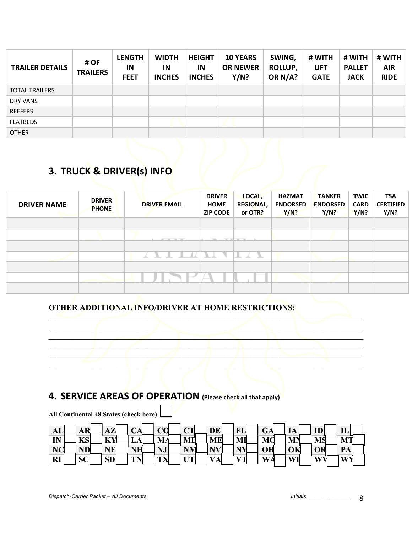| <b>TRAILER DETAILS</b> | # OF<br><b>TRAILERS</b> | <b>LENGTH</b><br>IN<br><b>FEET</b> | <b>WIDTH</b><br>IN<br><b>INCHES</b> | <b>HEIGHT</b><br>IN<br><b>INCHES</b> | <b>10 YEARS</b><br><b>OR NEWER</b><br>Y/N? | SWING,<br>ROLLUP,<br>OR N/A? | # WITH<br><b>LIFT</b><br><b>GATE</b> | # WITH<br><b>PALLET</b><br><b>JACK</b> | # WITH<br><b>AIR</b><br><b>RIDE</b> |
|------------------------|-------------------------|------------------------------------|-------------------------------------|--------------------------------------|--------------------------------------------|------------------------------|--------------------------------------|----------------------------------------|-------------------------------------|
| <b>TOTAL TRAILERS</b>  |                         |                                    |                                     |                                      |                                            |                              |                                      |                                        |                                     |
| DRY VANS               |                         |                                    |                                     |                                      |                                            |                              |                                      |                                        |                                     |
| <b>REEFERS</b>         |                         |                                    |                                     |                                      |                                            |                              |                                      |                                        |                                     |
| <b>FLATBEDS</b>        |                         |                                    |                                     |                                      |                                            |                              |                                      |                                        |                                     |
| <b>OTHER</b>           |                         |                                    |                                     |                                      |                                            |                              |                                      |                                        |                                     |

# **3. TRUCK & DRIVER(s) INFO**

| <b>DRIVER NAME</b> | <b>DRIVER</b><br><b>PHONE</b> | <b>DRIVER EMAIL</b>                       | <b>DRIVER</b><br><b>HOME</b><br><b>ZIP CODE</b> | LOCAL,<br><b>REGIONAL,</b><br>or OTR? | <b>HAZMAT</b><br><b>ENDORSED</b><br>Y/N? | <b>TANKER</b><br><b>ENDORSED</b><br>Y/N? | <b>TWIC</b><br><b>CARD</b><br>Y/N? | TSA<br><b>CERTIFIED</b><br>Y/N? |
|--------------------|-------------------------------|-------------------------------------------|-------------------------------------------------|---------------------------------------|------------------------------------------|------------------------------------------|------------------------------------|---------------------------------|
|                    |                               |                                           |                                                 |                                       |                                          |                                          |                                    |                                 |
|                    |                               | ----                                      | The Contract                                    | -----                                 |                                          |                                          |                                    |                                 |
|                    |                               |                                           |                                                 |                                       |                                          |                                          |                                    |                                 |
|                    |                               | $\mathcal{L} \subset \mathcal{R}$<br>- 17 | N. J                                            | - 31                                  |                                          |                                          |                                    |                                 |
|                    |                               |                                           |                                                 |                                       |                                          |                                          |                                    |                                 |
|                    |                               |                                           |                                                 |                                       |                                          |                                          |                                    |                                 |
|                    |                               |                                           |                                                 |                                       |                                          |                                          |                                    |                                 |

 $\blacksquare$ 

#### **OTHER ADDITIONAL INFO/DRIVER AT HOME RESTRICTIONS:**



| <b>AL</b> | $\overline{\mathbf{p}}$<br>4. N. L | $\Delta T$<br>3Z | CA | $\alpha$<br>Ö        | $\sim$<br>◡ | <b>DE</b> | EТ                               | GA             | IA        | m         | $\mathbf{H}$<br>ப |  |
|-----------|------------------------------------|------------------|----|----------------------|-------------|-----------|----------------------------------|----------------|-----------|-----------|-------------------|--|
| IN        | $L^{\prime}C$<br>LO.               | <b>KY</b>        | ⊷  | MA                   | MI          | <b>ME</b> | MI                               | MC             | <b>MN</b> | <b>MS</b> | <b>MT</b>         |  |
| NC        | <b>ND</b>                          | NE               | NH | NJ                   | <b>NM</b>   | <b>NV</b> | <b>NIV</b>                       | OH             | OK        | OR        | PA                |  |
| <b>RI</b> | <b>SC</b>                          | <b>SD</b>        | TN | ТV<br>$\blacksquare$ | <b>TIME</b> | <b>VA</b> | $\mathbf{x}$ $\tau$ $\mathbf{r}$ | $\mathbf{W}_4$ | WI        | W         | <b>WY</b>         |  |

**All Continental 48 States (check here) \_\_\_\_**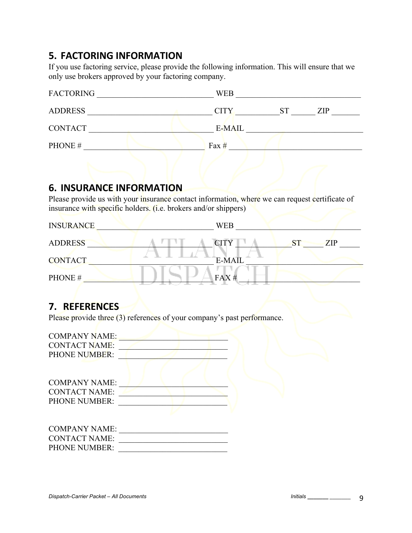### **5. FACTORING INFORMATION**

If you use factoring service, please provide the following information. This will ensure that we only use brokers approved by your factoring company.

| <b>FACTORING</b> | <b>WEB</b>               |
|------------------|--------------------------|
| <b>ADDRESS</b>   | <b>CITY</b><br>ST<br>ZIP |
| <b>CONTACT</b>   | E-MAIL                   |
| PHONE#           | Fax $#$                  |

### **6. INSURANCE INFORMATION**

Please provide us with your insurance contact information, where we can request certificate of insurance with specific holders. (i.e. brokers and/or shippers)

| <b>INSURANCE</b> | <b>WEB</b>    |            |
|------------------|---------------|------------|
| <b>ADDRESS</b>   | <b>CITY</b>   | <b>ZIP</b> |
| <b>CONTACT</b>   | <b>E-MAIL</b> |            |
| PHONE#           | FAX#          |            |

### **7. REFERENCES**

Please provide three (3) references of your company's past performance.

| <b>COMPANY NAME:</b> |  |
|----------------------|--|
| <b>CONTACT NAME:</b> |  |
| <b>PHONE NUMBER:</b> |  |
|                      |  |
|                      |  |
| <b>COMPANY NAME:</b> |  |
| <b>CONTACT NAME:</b> |  |
| <b>PHONE NUMBER:</b> |  |
|                      |  |
|                      |  |
| <b>COMPANY NAME:</b> |  |
| <b>CONTACT NAME:</b> |  |
| PHONE NUMBER:        |  |